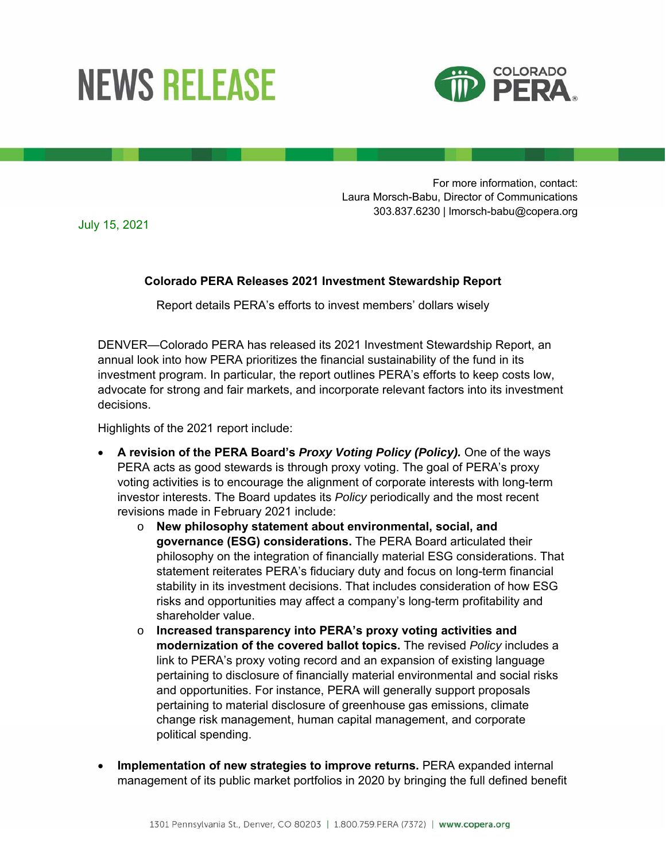## **NEWS RELEASE**



For more information, contact: Laura Morsch-Babu, Director of Communications 303.837.6230 | lmorsch-babu@copera.org

July 15, 2021

## **Colorado PERA Releases 2021 Investment Stewardship Report**

Report details PERA's efforts to invest members' dollars wisely

DENVER—Colorado PERA has released its 2021 Investment Stewardship Report, an annual look into how PERA prioritizes the financial sustainability of the fund in its investment program. In particular, the report outlines PERA's efforts to keep costs low, advocate for strong and fair markets, and incorporate relevant factors into its investment decisions.

Highlights of the 2021 report include:

- **A revision of the PERA Board's** *Proxy Voting Policy (Policy).* One of the ways PERA acts as good stewards is through proxy voting. The goal of PERA's proxy voting activities is to encourage the alignment of corporate interests with long-term investor interests. The Board updates its *Policy* periodically and the most recent revisions made in February 2021 include:
	- o **New philosophy statement about environmental, social, and governance (ESG) considerations.** The PERA Board articulated their philosophy on the integration of financially material ESG considerations. That statement reiterates PERA's fiduciary duty and focus on long-term financial stability in its investment decisions. That includes consideration of how ESG risks and opportunities may affect a company's long-term profitability and shareholder value.
	- o **Increased transparency into PERA's proxy voting activities and modernization of the covered ballot topics.** The revised *Policy* includes a link to PERA's proxy voting record and an expansion of existing language pertaining to disclosure of financially material environmental and social risks and opportunities. For instance, PERA will generally support proposals pertaining to material disclosure of greenhouse gas emissions, climate change risk management, human capital management, and corporate political spending.
- **Implementation of new strategies to improve returns.** PERA expanded internal management of its public market portfolios in 2020 by bringing the full defined benefit